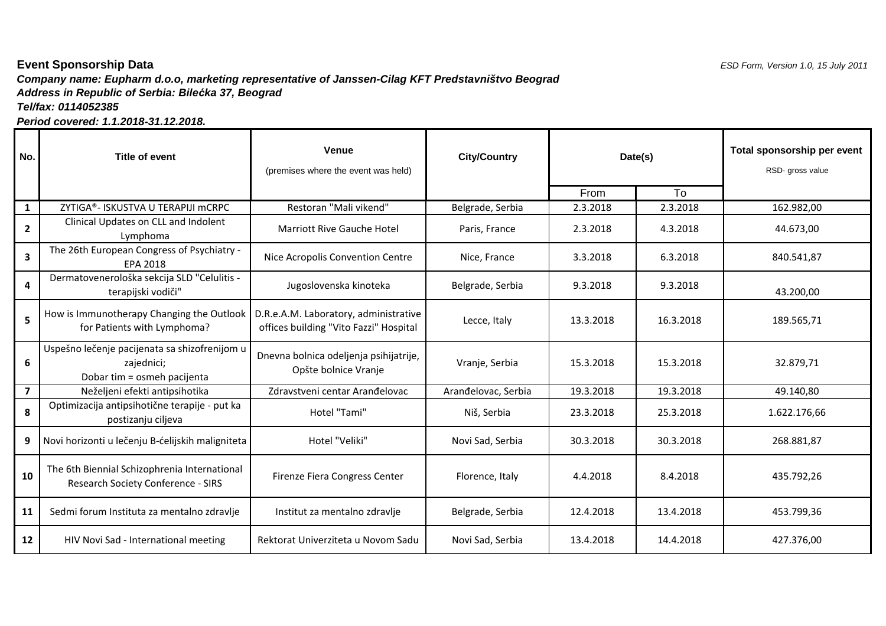## **Company name: Eupharm d.o.o, marketing representative of Janssen-Cilag KFT Predstavništvo Beograd Event Sponsorship Data** $\blacksquare$  ESD Form, Version 1.0, 15 July 2011 **Address in Republic of Serbia: Bile***ć***ka 37, BeogradTel/fax: 0114052385**

**Period covered: 1.1.2018-31.12.2018.**

| No.                     | Title of event                                                                             | <b>Venue</b><br>(premises where the event was held)                             | <b>City/Country</b> | Date(s)   |           | Total sponsorship per event<br>RSD- gross value |
|-------------------------|--------------------------------------------------------------------------------------------|---------------------------------------------------------------------------------|---------------------|-----------|-----------|-------------------------------------------------|
|                         |                                                                                            |                                                                                 |                     | From      | To        |                                                 |
| $\mathbf{1}$            | ZYTIGA®- ISKUSTVA U TERAPIJI mCRPC                                                         | Restoran "Mali vikend"                                                          | Belgrade, Serbia    | 2.3.2018  | 2.3.2018  | 162.982,00                                      |
| $\overline{2}$          | Clinical Updates on CLL and Indolent<br>Lymphoma                                           | <b>Marriott Rive Gauche Hotel</b>                                               | Paris, France       | 2.3.2018  | 4.3.2018  | 44.673,00                                       |
| $\overline{\mathbf{3}}$ | The 26th European Congress of Psychiatry -<br><b>EPA 2018</b>                              | Nice Acropolis Convention Centre                                                | Nice, France        | 3.3.2018  | 6.3.2018  | 840.541,87                                      |
| 4                       | Dermatovenerološka sekcija SLD "Celulitis -<br>terapijski vodiči"                          | Jugoslovenska kinoteka                                                          | Belgrade, Serbia    | 9.3.2018  | 9.3.2018  | 43.200,00                                       |
| 5                       | How is Immunotherapy Changing the Outlook<br>for Patients with Lymphoma?                   | D.R.e.A.M. Laboratory, administrative<br>offices building "Vito Fazzi" Hospital | Lecce, Italy        | 13.3.2018 | 16.3.2018 | 189.565,71                                      |
| 6                       | Uspešno lečenje pacijenata sa shizofrenijom u<br>zajednici;<br>Dobar tim = osmeh pacijenta | Dnevna bolnica odeljenja psihijatrije,<br>Opšte bolnice Vranje                  | Vranje, Serbia      | 15.3.2018 | 15.3.2018 | 32.879,71                                       |
| $\overline{\mathbf{z}}$ | Neželjeni efekti antipsihotika                                                             | Zdravstveni centar Aranđelovac                                                  | Arandelovac, Serbia | 19.3.2018 | 19.3.2018 | 49.140,80                                       |
| 8                       | Optimizacija antipsihotične terapije - put ka<br>postizanju ciljeva                        | Hotel "Tami"                                                                    | Niš, Serbia         | 23.3.2018 | 25.3.2018 | 1.622.176,66                                    |
| 9                       | Novi horizonti u lečenju B-ćelijskih maligniteta                                           | Hotel "Veliki"                                                                  | Novi Sad, Serbia    | 30.3.2018 | 30.3.2018 | 268.881,87                                      |
| 10                      | The 6th Biennial Schizophrenia International<br>Research Society Conference - SIRS         | Firenze Fiera Congress Center                                                   | Florence, Italy     | 4.4.2018  | 8.4.2018  | 435.792,26                                      |
| 11                      | Sedmi forum Instituta za mentalno zdravlje                                                 | Institut za mentalno zdravlje                                                   | Belgrade, Serbia    | 12.4.2018 | 13.4.2018 | 453.799,36                                      |
| 12                      | HIV Novi Sad - International meeting                                                       | Rektorat Univerziteta u Novom Sadu                                              | Novi Sad, Serbia    | 13.4.2018 | 14.4.2018 | 427.376,00                                      |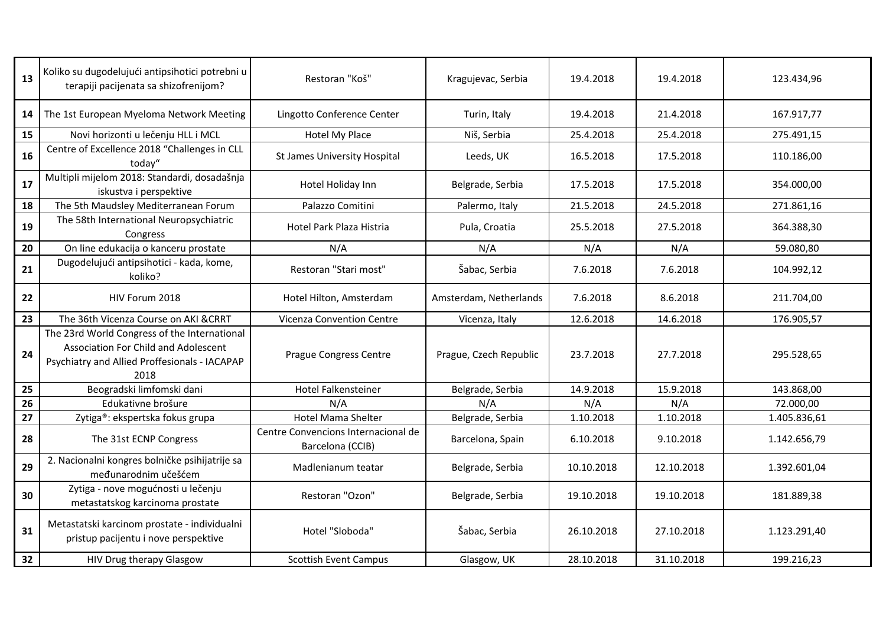| 13 | Koliko su dugodelujući antipsihotici potrebni u<br>terapiji pacijenata sa shizofrenijom?                                                             | Restoran "Koš"                                          | Kragujevac, Serbia     | 19.4.2018  | 19.4.2018  | 123.434,96   |
|----|------------------------------------------------------------------------------------------------------------------------------------------------------|---------------------------------------------------------|------------------------|------------|------------|--------------|
| 14 | The 1st European Myeloma Network Meeting                                                                                                             | Lingotto Conference Center                              | Turin, Italy           | 19.4.2018  | 21.4.2018  | 167.917,77   |
| 15 | Novi horizonti u lečenju HLL i MCL                                                                                                                   | Hotel My Place                                          | Niš, Serbia            | 25.4.2018  | 25.4.2018  | 275.491,15   |
| 16 | Centre of Excellence 2018 "Challenges in CLL<br>today"                                                                                               | St James University Hospital                            | Leeds, UK              | 16.5.2018  | 17.5.2018  | 110.186,00   |
| 17 | Multipli mijelom 2018: Standardi, dosadašnja<br>iskustva i perspektive                                                                               | Hotel Holiday Inn                                       | Belgrade, Serbia       | 17.5.2018  | 17.5.2018  | 354.000,00   |
| 18 | The 5th Maudsley Mediterranean Forum                                                                                                                 | Palazzo Comitini                                        | Palermo, Italy         | 21.5.2018  | 24.5.2018  | 271.861,16   |
| 19 | The 58th International Neuropsychiatric<br>Congress                                                                                                  | Hotel Park Plaza Histria                                | Pula, Croatia          | 25.5.2018  | 27.5.2018  | 364.388,30   |
| 20 | On line edukacija o kanceru prostate                                                                                                                 | N/A                                                     | N/A                    | N/A        | N/A        | 59.080,80    |
| 21 | Dugodelujući antipsihotici - kada, kome,<br>koliko?                                                                                                  | Restoran "Stari most"                                   | Šabac, Serbia          | 7.6.2018   | 7.6.2018   | 104.992,12   |
| 22 | HIV Forum 2018                                                                                                                                       | Hotel Hilton, Amsterdam                                 | Amsterdam, Netherlands | 7.6.2018   | 8.6.2018   | 211.704,00   |
| 23 | The 36th Vicenza Course on AKI & CRRT                                                                                                                | <b>Vicenza Convention Centre</b>                        | Vicenza, Italy         | 12.6.2018  | 14.6.2018  | 176.905,57   |
| 24 | The 23rd World Congress of the International<br><b>Association For Child and Adolescent</b><br>Psychiatry and Allied Proffesionals - IACAPAP<br>2018 | <b>Prague Congress Centre</b>                           | Prague, Czech Republic | 23.7.2018  | 27.7.2018  | 295.528,65   |
| 25 | Beogradski limfomski dani                                                                                                                            | Hotel Falkensteiner                                     | Belgrade, Serbia       | 14.9.2018  | 15.9.2018  | 143.868,00   |
| 26 | Edukativne brošure                                                                                                                                   | N/A                                                     | N/A                    | N/A        | N/A        | 72.000,00    |
| 27 | Zytiga®: ekspertska fokus grupa                                                                                                                      | Hotel Mama Shelter                                      | Belgrade, Serbia       | 1.10.2018  | 1.10.2018  | 1.405.836,61 |
| 28 | The 31st ECNP Congress                                                                                                                               | Centre Convencions Internacional de<br>Barcelona (CCIB) | Barcelona, Spain       | 6.10.2018  | 9.10.2018  | 1.142.656,79 |
| 29 | 2. Nacionalni kongres bolničke psihijatrije sa<br>međunarodnim učešćem                                                                               | Madlenianum teatar                                      | Belgrade, Serbia       | 10.10.2018 | 12.10.2018 | 1.392.601,04 |
| 30 | Zytiga - nove mogućnosti u lečenju<br>metastatskog karcinoma prostate                                                                                | Restoran "Ozon"                                         | Belgrade, Serbia       | 19.10.2018 | 19.10.2018 | 181.889,38   |
| 31 | Metastatski karcinom prostate - individualni<br>pristup pacijentu i nove perspektive                                                                 | Hotel "Sloboda"                                         | Šabac, Serbia          | 26.10.2018 | 27.10.2018 | 1.123.291,40 |
| 32 | HIV Drug therapy Glasgow                                                                                                                             | <b>Scottish Event Campus</b>                            | Glasgow, UK            | 28.10.2018 | 31.10.2018 | 199.216,23   |